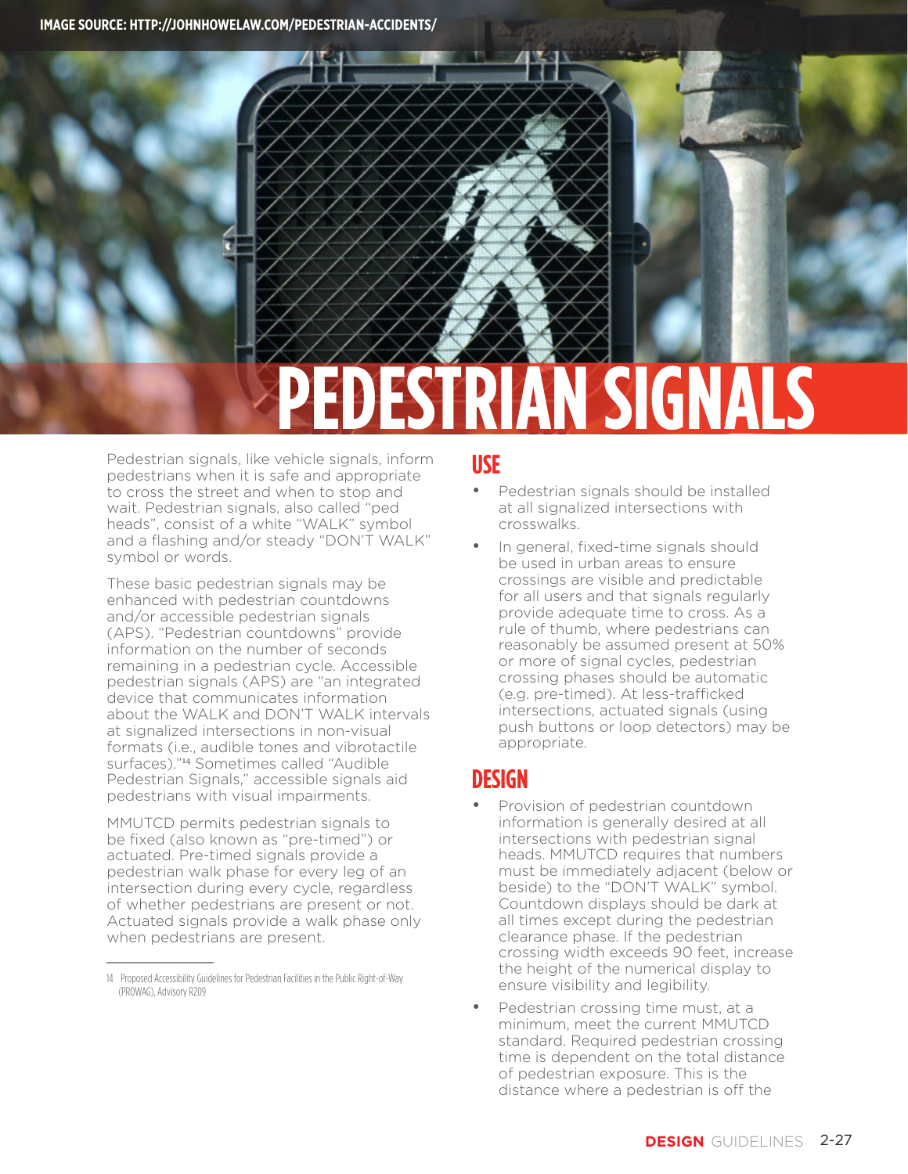# **RIAN SIGNALS**

Pedestrian signals, like vehicle signals, inform pedestrians when it is safe and appropriate to cross the street and when to stop and wait. Pedestrian signals, also called "ped heads", consist of a white "WALK" symbol and a flashing and/or steady "DON'T WALK" symbol or words.

These basic pedestrian signals may be enhanced with pedestrian countdowns and/or accessible pedestrian signals (APS). "Pedestrian countdowns" provide information on the number of seconds remaining in a pedestrian cycle. Accessible pedestrian signals (APS) are "an integrated device that communicates information about the WALK and DON'T WALK intervals at signalized intersections in non-visual formats (i.e., audible tones and vibrotactile surfaces)."14 Sometimes called "Audible Pedestrian Signals," accessible signals aid pedestrians with visual impairments.

MMUTCD permits pedestrian signals to be fixed (also known as "pre-timed") or actuated. Pre-timed signals provide a pedestrian walk phase for every leg of an intersection during every cycle, regardless of whether pedestrians are present or not. Actuated signals provide a walk phase only when pedestrians are present.

### **USE**

• Pedestrian signals should be installed at all signalized intersections with crosswalks.

PEDESTRIAN ZONE

• In general, fixed-time signals should be used in urban areas to ensure crossings are visible and predictable for all users and that signals regularly provide adequate time to cross. As a rule of thumb, where pedestrians can reasonably be assumed present at 50% or more of signal cycles, pedestrian crossing phases should be automatic (e.g. pre-timed). At less-trafficked intersections, actuated signals (using push buttons or loop detectors) may be appropriate.

### **DESIGN**

- Provision of pedestrian countdown information is generally desired at all intersections with pedestrian signal heads. MMUTCD requires that numbers must be immediately adjacent (below or beside) to the "DON'T WALK" symbol. Countdown displays should be dark at all times except during the pedestrian clearance phase. If the pedestrian crossing width exceeds 90 feet, increase the height of the numerical display to ensure visibility and legibility.
- Pedestrian crossing time must, at a minimum, meet the current MMUTCD standard. Required pedestrian crossing time is dependent on the total distance of pedestrian exposure. This is the distance where a pedestrian is off the

<sup>14</sup> Proposed Accessibility Guidelines for Pedestrian Facilities in the Public Right-of-Way (PROWAG), Advisory R209